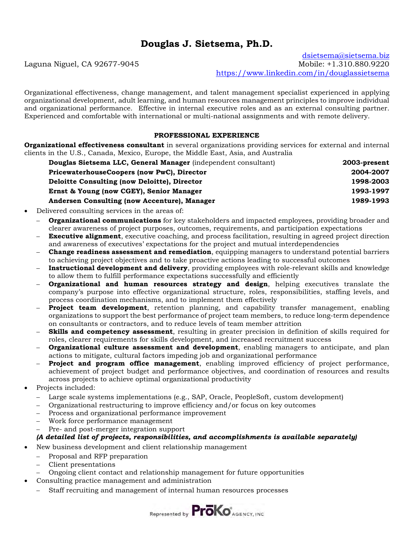# **Douglas J. Sietsema, Ph.D.**

Laguna Niguel, CA 92677-9045

[dsietsema@sietsema.biz](mailto:dsietsema@sietsema.biz)<br>Mobile: +1.310.880.9220 <https://www.linkedin.com/in/douglassietsema>

Organizational effectiveness, change management, and talent management specialist experienced in applying organizational development, adult learning, and human resources management principles to improve individual and organizational performance. Effective in internal executive roles and as an external consulting partner. Experienced and comfortable with international or multi-national assignments and with remote delivery.

### **PROFESSIONAL EXPERIENCE**

**Organizational effectiveness consultant** in several organizations providing services for external and internal clients in the U.S., Canada, Mexico, Europe, the Middle East, Asia, and Australia

| Douglas Sietsema LLC, General Manager (independent consultant) | 2003-present |
|----------------------------------------------------------------|--------------|
| PricewaterhouseCoopers (now PwC), Director                     | 2004-2007    |
| Deloitte Consulting (now Deloitte), Director                   | 1998-2003    |
| Ernst & Young (now CGEY), Senior Manager                       | 1993-1997    |
| Andersen Consulting (now Accenture), Manager                   | 1989-1993    |

• Delivered consulting services in the areas of:

- **Organizational communications** for key stakeholders and impacted employees, providing broader and clearer awareness of project purposes, outcomes, requirements, and participation expectations
- **Executive alignment**, executive coaching, and process facilitation, resulting in agreed project direction and awareness of executives' expectations for the project and mutual interdependencies
- **Change readiness assessment and remediation**, equipping managers to understand potential barriers to achieving project objectives and to take proactive actions leading to successful outcomes
- **Instructional development and delivery**, providing employees with role-relevant skills and knowledge to allow them to fulfill performance expectations successfully and efficiently
- **Organizational and human resources strategy and design**, helping executives translate the company's purpose into effective organizational structure, roles, responsibilities, staffing levels, and process coordination mechanisms, and to implement them effectively
- **Project team development**, retention planning, and capability transfer management, enabling organizations to support the best performance of project team members, to reduce long-term dependence on consultants or contractors, and to reduce levels of team member attrition
- **Skills and competency assessment**, resulting in greater precision in definition of skills required for roles, clearer requirements for skills development, and increased recruitment success
- **Organizational culture assessment and development**, enabling managers to anticipate, and plan actions to mitigate, cultural factors impeding job and organizational performance
- **Project and program office management**, enabling improved efficiency of project performance, achievement of project budget and performance objectives, and coordination of resources and results across projects to achieve optimal organizational productivity
- Projects included:
	- Large scale systems implementations (e.g., SAP, Oracle, PeopleSoft, custom development)
	- Organizational restructuring to improve efficiency and/or focus on key outcomes
	- Process and organizational performance improvement
	- Work force performance management
	- Pre- and post-merger integration support

### *(A detailed list of projects, responsibilities, and accomplishments is available separately)*

- New business development and client relationship management
	- Proposal and RFP preparation
	- Client presentations
	- Ongoing client contact and relationship management for future opportunities
	- Consulting practice management and administration
		- Staff recruiting and management of internal human resources processes